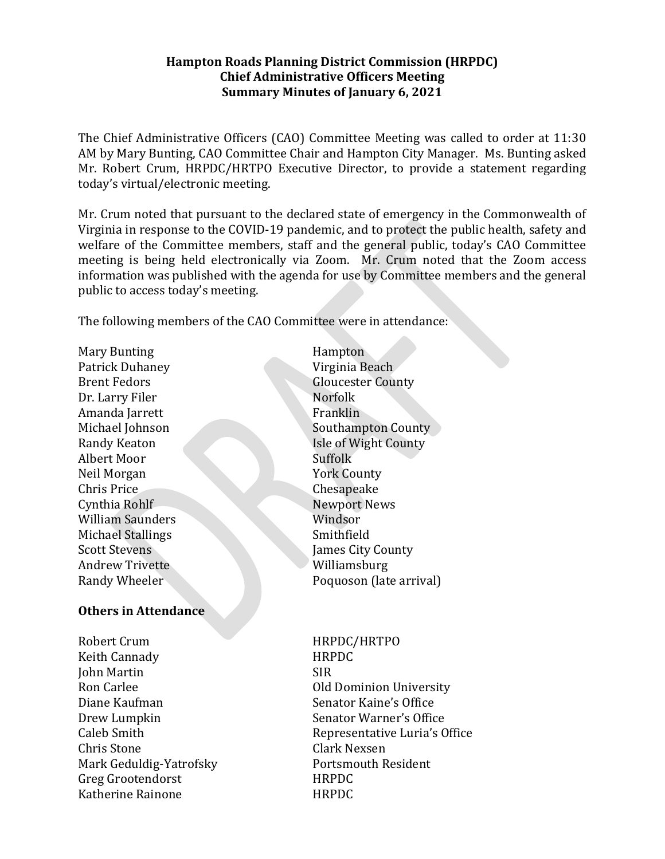### **Hampton Roads Planning District Commission (HRPDC) Chief Administrative Officers Meeting Summary Minutes of January 6, 2021**

The Chief Administrative Officers (CAO) Committee Meeting was called to order at 11:30 AM by Mary Bunting, CAO Committee Chair and Hampton City Manager. Ms. Bunting asked Mr. Robert Crum, HRPDC/HRTPO Executive Director, to provide a statement regarding today's virtual/electronic meeting.

Mr. Crum noted that pursuant to the declared state of emergency in the Commonwealth of Virginia in response to the COVID-19 pandemic, and to protect the public health, safety and welfare of the Committee members, staff and the general public, today's CAO Committee meeting is being held electronically via Zoom. Mr. Crum noted that the Zoom access information was published with the agenda for use by Committee members and the general public to access today's meeting.

The following members of the CAO Committee were in attendance:

Mary Bunting **Hampton** Patrick Duhaney Virginia Beach Brent Fedors Gloucester County Dr. Larry Filer Norfolk Amanda Jarrett Franklin Albert Moor Suffolk Neil Morgan York County Chris Price Chesapeake Cynthia Rohlf Newport News William Saunders Windsor Michael Stallings Smithfield **Scott Stevens** James City County Andrew Trivette Williamsburg Randy Wheeler Poquoson (late arrival)

### **Others in Attendance**

Robert Crum HRPDC/HRTPO Keith Cannady **HRPDC** John Martin SIR Ron Carlee **Old Dominion University** Diane Kaufman Senator Kaine's Office Drew Lumpkin Senator Warner's Office Chris Stone Clark Nexsen Mark Geduldig-Yatrofsky Portsmouth Resident Greg Grootendorst HRPDC Katherine Rainone **HRPDC** 

Michael Johnson Southampton County Randy Keaton Isle of Wight County

Caleb Smith **Representative Luria's Office**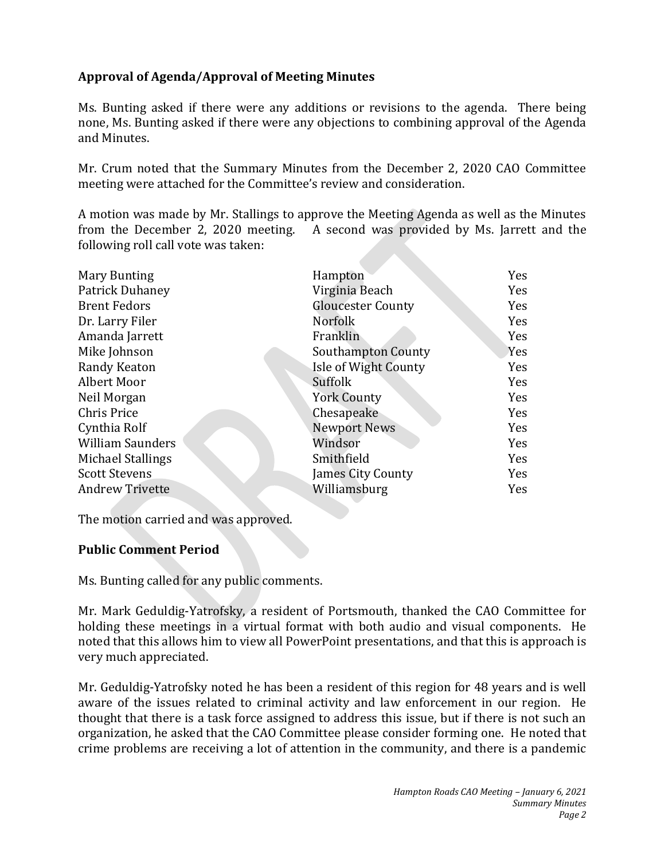# **Approval of Agenda/Approval of Meeting Minutes**

Ms. Bunting asked if there were any additions or revisions to the agenda. There being none, Ms. Bunting asked if there were any objections to combining approval of the Agenda and Minutes.

Mr. Crum noted that the Summary Minutes from the December 2, 2020 CAO Committee meeting were attached for the Committee's review and consideration.

A motion was made by Mr. Stallings to approve the Meeting Agenda as well as the Minutes from the December 2, 2020 meeting. A second was provided by Ms. Jarrett and the following roll call vote was taken:

| <b>Mary Bunting</b>     | Hampton                   | Yes |
|-------------------------|---------------------------|-----|
| Patrick Duhaney         | Virginia Beach            | Yes |
| <b>Brent Fedors</b>     | <b>Gloucester County</b>  | Yes |
| Dr. Larry Filer         | <b>Norfolk</b>            | Yes |
| Amanda Jarrett          | Franklin                  | Yes |
| Mike Johnson            | <b>Southampton County</b> | Yes |
| Randy Keaton            | Isle of Wight County      | Yes |
| Albert Moor             | Suffolk                   | Yes |
| Neil Morgan             | <b>York County</b>        | Yes |
| Chris Price             | Chesapeake                | Yes |
| Cynthia Rolf            | <b>Newport News</b>       | Yes |
| <b>William Saunders</b> | Windsor                   | Yes |
| Michael Stallings       | Smithfield                | Yes |
| <b>Scott Stevens</b>    | James City County         | Yes |
| <b>Andrew Trivette</b>  | Williamsburg              | Yes |
|                         |                           |     |

The motion carried and was approved.

## **Public Comment Period**

Ms. Bunting called for any public comments.

Mr. Mark Geduldig-Yatrofsky, a resident of Portsmouth, thanked the CAO Committee for holding these meetings in a virtual format with both audio and visual components. He noted that this allows him to view all PowerPoint presentations, and that this is approach is very much appreciated.

Mr. Geduldig-Yatrofsky noted he has been a resident of this region for 48 years and is well aware of the issues related to criminal activity and law enforcement in our region. He thought that there is a task force assigned to address this issue, but if there is not such an organization, he asked that the CAO Committee please consider forming one. He noted that crime problems are receiving a lot of attention in the community, and there is a pandemic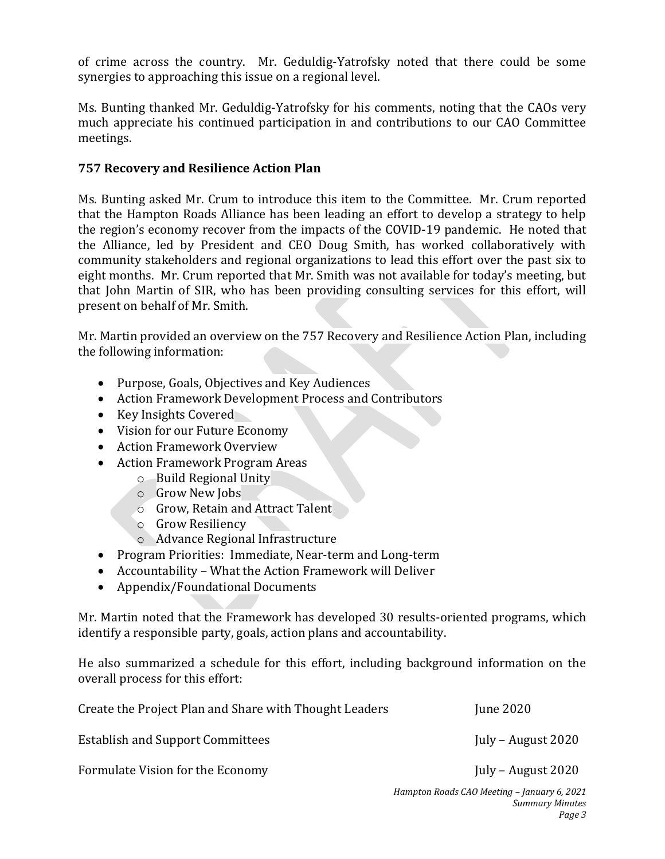of crime across the country. Mr. Geduldig-Yatrofsky noted that there could be some synergies to approaching this issue on a regional level.

Ms. Bunting thanked Mr. Geduldig-Yatrofsky for his comments, noting that the CAOs very much appreciate his continued participation in and contributions to our CAO Committee meetings.

### **757 Recovery and Resilience Action Plan**

Ms. Bunting asked Mr. Crum to introduce this item to the Committee. Mr. Crum reported that the Hampton Roads Alliance has been leading an effort to develop a strategy to help the region's economy recover from the impacts of the COVID-19 pandemic. He noted that the Alliance, led by President and CEO Doug Smith, has worked collaboratively with community stakeholders and regional organizations to lead this effort over the past six to eight months. Mr. Crum reported that Mr. Smith was not available for today's meeting, but that John Martin of SIR, who has been providing consulting services for this effort, will present on behalf of Mr. Smith.

Mr. Martin provided an overview on the 757 Recovery and Resilience Action Plan, including the following information:

- Purpose, Goals, Objectives and Key Audiences
- Action Framework Development Process and Contributors
- Key Insights Covered
- Vision for our Future Economy
- Action Framework Overview
- Action Framework Program Areas
	- o Build Regional Unity
	- o Grow New Jobs
	- o Grow, Retain and Attract Talent
	- o Grow Resiliency
	- o Advance Regional Infrastructure
- Program Priorities: Immediate, Near-term and Long-term
- Accountability What the Action Framework will Deliver
- Appendix/Foundational Documents

Mr. Martin noted that the Framework has developed 30 results-oriented programs, which identify a responsible party, goals, action plans and accountability.

He also summarized a schedule for this effort, including background information on the overall process for this effort:

| Create the Project Plan and Share with Thought Leaders | <b>June 2020</b>   |
|--------------------------------------------------------|--------------------|
| <b>Establish and Support Committees</b>                | July – August 2020 |
| Formulate Vision for the Economy                       | July – August 2020 |
|                                                        |                    |

*Hampton Roads CAO Meeting – January 6, 2021 Summary Minutes Page 3*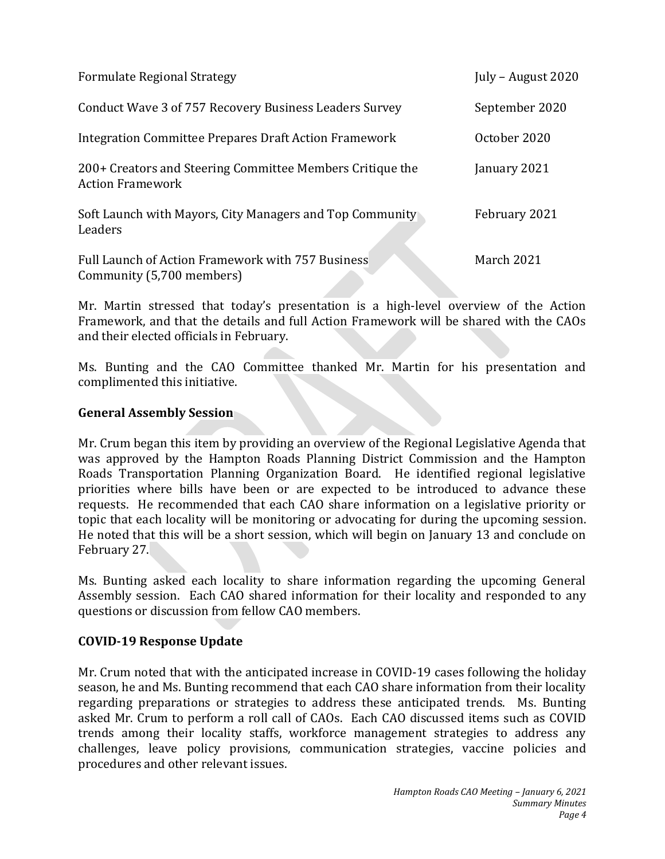| <b>Formulate Regional Strategy</b>                                                   | July – August $2020$ |
|--------------------------------------------------------------------------------------|----------------------|
| Conduct Wave 3 of 757 Recovery Business Leaders Survey                               | September 2020       |
| Integration Committee Prepares Draft Action Framework                                | October 2020         |
| 200+ Creators and Steering Committee Members Critique the<br><b>Action Framework</b> | January 2021         |
| Soft Launch with Mayors, City Managers and Top Community<br>Leaders                  | February 2021        |
| Full Launch of Action Framework with 757 Business<br>Community (5,700 members)       | March 2021           |

Mr. Martin stressed that today's presentation is a high-level overview of the Action Framework, and that the details and full Action Framework will be shared with the CAOs and their elected officials in February.

Ms. Bunting and the CAO Committee thanked Mr. Martin for his presentation and complimented this initiative.

## **General Assembly Session**

Mr. Crum began this item by providing an overview of the Regional Legislative Agenda that was approved by the Hampton Roads Planning District Commission and the Hampton Roads Transportation Planning Organization Board. He identified regional legislative priorities where bills have been or are expected to be introduced to advance these requests. He recommended that each CAO share information on a legislative priority or topic that each locality will be monitoring or advocating for during the upcoming session. He noted that this will be a short session, which will begin on January 13 and conclude on February 27.

Ms. Bunting asked each locality to share information regarding the upcoming General Assembly session. Each CAO shared information for their locality and responded to any questions or discussion from fellow CAO members.

### **COVID-19 Response Update**

Mr. Crum noted that with the anticipated increase in COVID-19 cases following the holiday season, he and Ms. Bunting recommend that each CAO share information from their locality regarding preparations or strategies to address these anticipated trends. Ms. Bunting asked Mr. Crum to perform a roll call of CAOs. Each CAO discussed items such as COVID trends among their locality staffs, workforce management strategies to address any challenges, leave policy provisions, communication strategies, vaccine policies and procedures and other relevant issues.